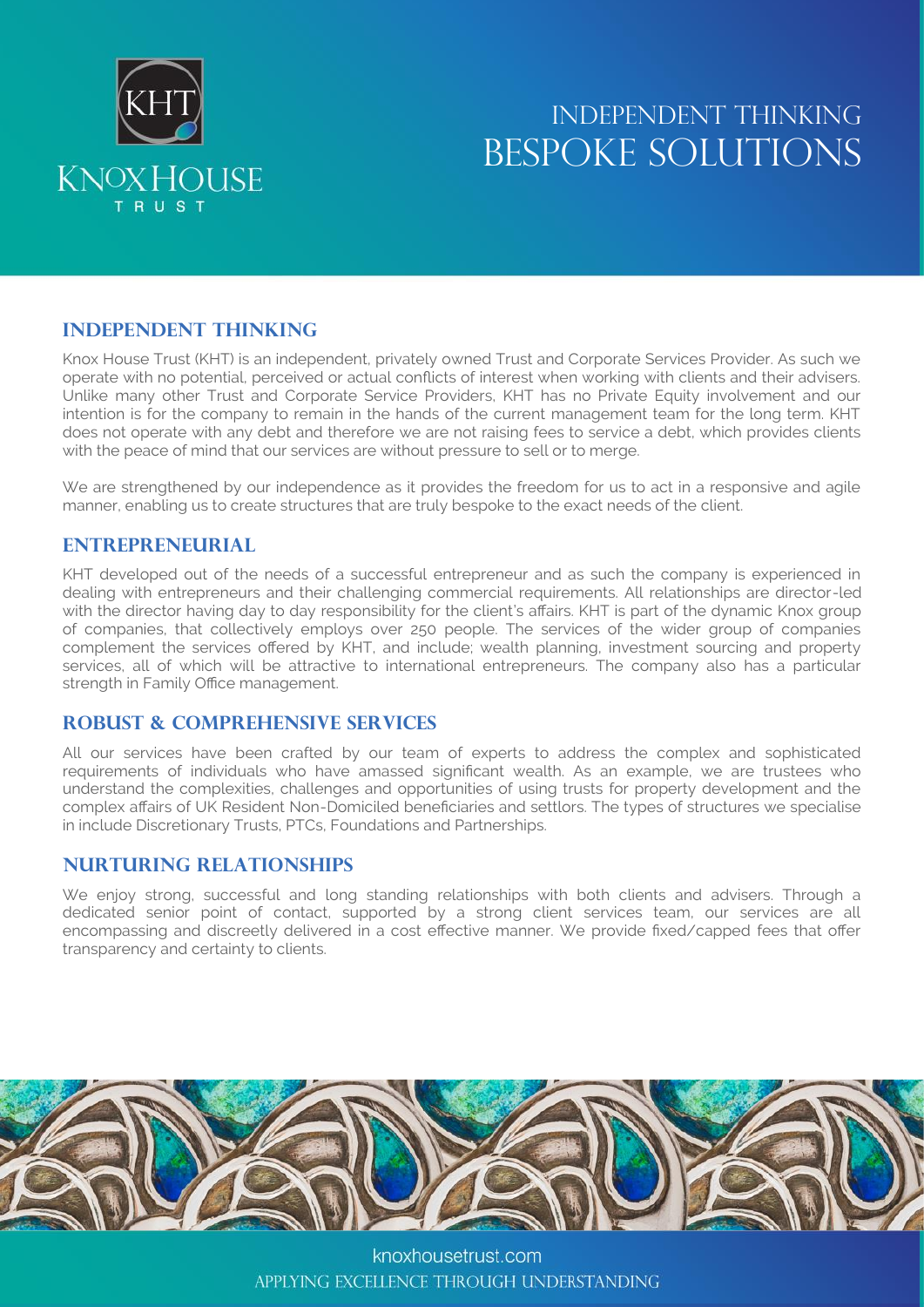

## INDEPENDENT THINKING BESPOKE SOLUTIONS

## **INDEPENDENT THINKING**

Knox House Trust (KHT) is an independent, privately owned Trust and Corporate Services Provider. As such we operate with no potential, perceived or actual conflicts of interest when working with clients and their advisers. Unlike many other Trust and Corporate Service Providers, KHT has no Private Equity involvement and our intention is for the company to remain in the hands of the current management team for the long term. KHT does not operate with any debt and therefore we are not raising fees to service a debt, which provides clients with the peace of mind that our services are without pressure to sell or to merge.

We are strengthened by our independence as it provides the freedom for us to act in a responsive and agile manner, enabling us to create structures that are truly bespoke to the exact needs of the client.

### **ENTREPRENEURIAL**

KHT developed out of the needs of a successful entrepreneur and as such the company is experienced in dealing with entrepreneurs and their challenging commercial requirements. All relationships are director-led with the director having day to day responsibility for the client's affairs. KHT is part of the dynamic Knox group of companies, that collectively employs over 250 people. The services of the wider group of companies complement the services offered by KHT, and include; wealth planning, investment sourcing and property services, all of which will be attractive to international entrepreneurs. The company also has a particular strength in Family Office management.

### **Robust & Comprehensive Services**

All our services have been crafted by our team of experts to address the complex and sophisticated requirements of individuals who have amassed significant wealth. As an example, we are trustees who understand the complexities, challenges and opportunities of using trusts for property development and the complex affairs of UK Resident Non-Domiciled beneficiaries and settlors. The types of structures we specialise in include Discretionary Trusts, PTCs, Foundations and Partnerships.

## **Nurturing Relationships**

We enjoy strong, successful and long standing relationships with both clients and advisers. Through a dedicated senior point of contact, supported by a strong client services team, our services are all encompassing and discreetly delivered in a cost effective manner. We provide fixed/capped fees that offer transparency and certainty to clients.